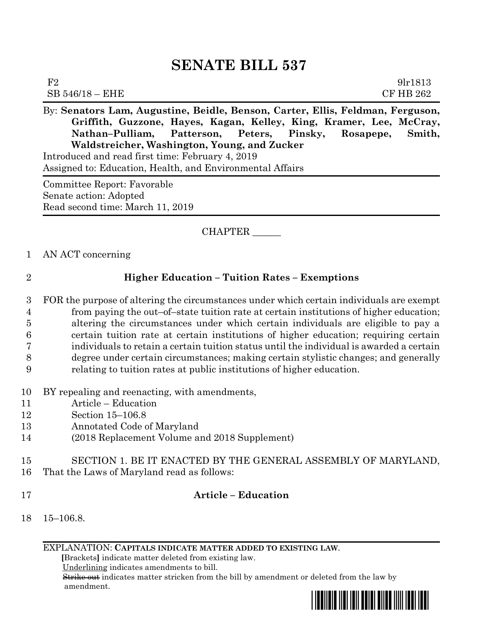# **SENATE BILL 537**

| $\sim$ $\sim$     | $\sqrt{1}$<br>. | -----<br>.<br>$\sim$ |                  |
|-------------------|-----------------|----------------------|------------------|
| $SB 546/18 - EHE$ |                 |                      | <b>CF HB 262</b> |
| $\rm F2$          |                 |                      | 9lr1813          |

By: **Senators Lam, Augustine, Beidle, Benson, Carter, Ellis, Feldman, Ferguson, Griffith, Guzzone, Hayes, Kagan, Kelley, King, Kramer, Lee, McCray, Nathan–Pulliam, Patterson, Peters, Pinsky, Rosapepe, Smith, Waldstreicher, Washington, Young, and Zucker**

Introduced and read first time: February 4, 2019 Assigned to: Education, Health, and Environmental Affairs

Committee Report: Favorable Senate action: Adopted Read second time: March 11, 2019

## CHAPTER \_\_\_\_\_\_

#### 1 AN ACT concerning

### 2 **Higher Education – Tuition Rates – Exemptions**

 FOR the purpose of altering the circumstances under which certain individuals are exempt from paying the out–of–state tuition rate at certain institutions of higher education; altering the circumstances under which certain individuals are eligible to pay a certain tuition rate at certain institutions of higher education; requiring certain individuals to retain a certain tuition status until the individual is awarded a certain degree under certain circumstances; making certain stylistic changes; and generally relating to tuition rates at public institutions of higher education.

- 10 BY repealing and reenacting, with amendments,
- 11 Article Education
- 12 Section 15–106.8
- 13 Annotated Code of Maryland
- 14 (2018 Replacement Volume and 2018 Supplement)
- 15 SECTION 1. BE IT ENACTED BY THE GENERAL ASSEMBLY OF MARYLAND, 16 That the Laws of Maryland read as follows:
- 

### 17 **Article – Education**

18 15–106.8.

EXPLANATION: **CAPITALS INDICATE MATTER ADDED TO EXISTING LAW**.

 **[**Brackets**]** indicate matter deleted from existing law.

Underlining indicates amendments to bill.

 Strike out indicates matter stricken from the bill by amendment or deleted from the law by amendment.

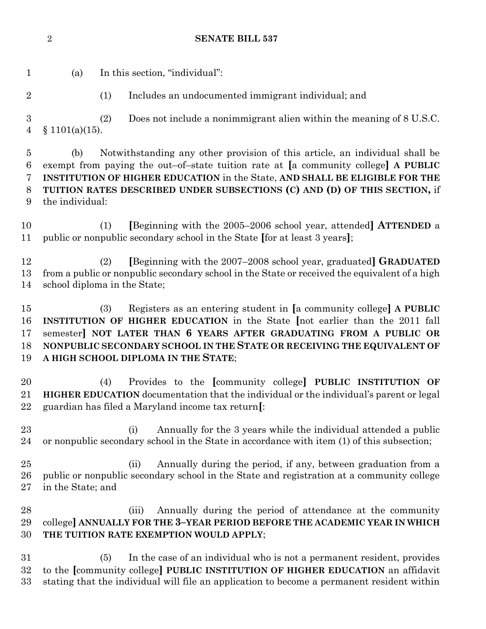**SENATE BILL 537**

(a) In this section, "individual":

(1) Includes an undocumented immigrant individual; and

 (2) Does not include a nonimmigrant alien within the meaning of 8 U.S.C. § 1101(a)(15).

 (b) Notwithstanding any other provision of this article, an individual shall be exempt from paying the out–of–state tuition rate at **[**a community college**] A PUBLIC INSTITUTION OF HIGHER EDUCATION** in the State, **AND SHALL BE ELIGIBLE FOR THE TUITION RATES DESCRIBED UNDER SUBSECTIONS (C) AND (D) OF THIS SECTION,** if the individual:

 (1) **[**Beginning with the 2005–2006 school year, attended**] ATTENDED** a public or nonpublic secondary school in the State **[**for at least 3 years**]**;

 (2) **[**Beginning with the 2007–2008 school year, graduated**] GRADUATED** from a public or nonpublic secondary school in the State or received the equivalent of a high school diploma in the State;

 (3) Registers as an entering student in **[**a community college**] A PUBLIC INSTITUTION OF HIGHER EDUCATION** in the State **[**not earlier than the 2011 fall semester**] NOT LATER THAN 6 YEARS AFTER GRADUATING FROM A PUBLIC OR NONPUBLIC SECONDARY SCHOOL IN THE STATE OR RECEIVING THE EQUIVALENT OF A HIGH SCHOOL DIPLOMA IN THE STATE**;

 (4) Provides to the **[**community college**] PUBLIC INSTITUTION OF HIGHER EDUCATION** documentation that the individual or the individual's parent or legal guardian has filed a Maryland income tax return**[**:

 (i) Annually for the 3 years while the individual attended a public or nonpublic secondary school in the State in accordance with item (1) of this subsection;

 (ii) Annually during the period, if any, between graduation from a public or nonpublic secondary school in the State and registration at a community college in the State; and

 (iii) Annually during the period of attendance at the community college**] ANNUALLY FOR THE 3–YEAR PERIOD BEFORE THE ACADEMIC YEAR IN WHICH THE TUITION RATE EXEMPTION WOULD APPLY**;

 (5) In the case of an individual who is not a permanent resident, provides to the **[**community college**] PUBLIC INSTITUTION OF HIGHER EDUCATION** an affidavit stating that the individual will file an application to become a permanent resident within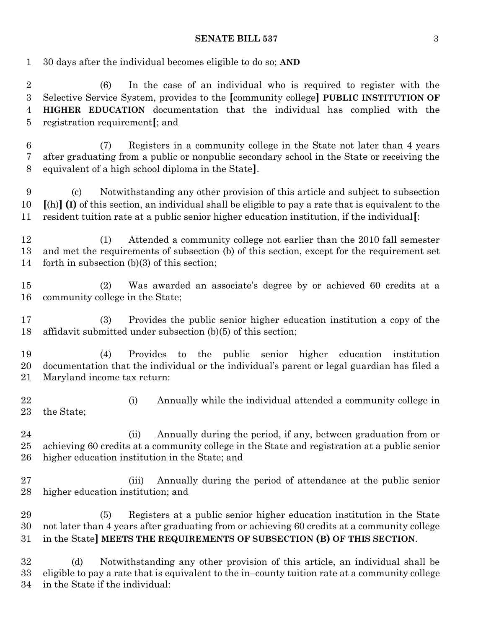#### **SENATE BILL 537** 3

30 days after the individual becomes eligible to do so; **AND**

 (6) In the case of an individual who is required to register with the Selective Service System, provides to the **[**community college**] PUBLIC INSTITUTION OF HIGHER EDUCATION** documentation that the individual has complied with the registration requirement**[**; and

 (7) Registers in a community college in the State not later than 4 years after graduating from a public or nonpublic secondary school in the State or receiving the equivalent of a high school diploma in the State**]**.

 (c) Notwithstanding any other provision of this article and subject to subsection **[**(h)**] (I)** of this section, an individual shall be eligible to pay a rate that is equivalent to the resident tuition rate at a public senior higher education institution, if the individual**[**:

 (1) Attended a community college not earlier than the 2010 fall semester and met the requirements of subsection (b) of this section, except for the requirement set forth in subsection (b)(3) of this section;

 (2) Was awarded an associate's degree by or achieved 60 credits at a community college in the State;

 (3) Provides the public senior higher education institution a copy of the affidavit submitted under subsection (b)(5) of this section;

 (4) Provides to the public senior higher education institution documentation that the individual or the individual's parent or legal guardian has filed a Maryland income tax return:

22 (i) Annually while the individual attended a community college in the State;

24 (ii) Annually during the period, if any, between graduation from or achieving 60 credits at a community college in the State and registration at a public senior higher education institution in the State; and

 (iii) Annually during the period of attendance at the public senior higher education institution; and

 (5) Registers at a public senior higher education institution in the State not later than 4 years after graduating from or achieving 60 credits at a community college in the State**] MEETS THE REQUIREMENTS OF SUBSECTION (B) OF THIS SECTION**.

 (d) Notwithstanding any other provision of this article, an individual shall be eligible to pay a rate that is equivalent to the in–county tuition rate at a community college in the State if the individual: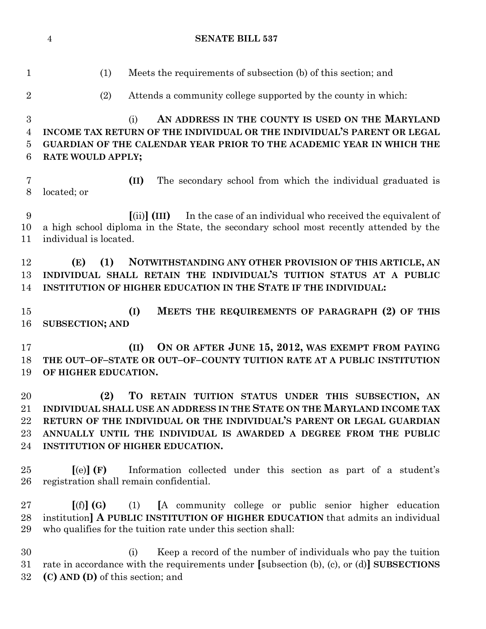(1) Meets the requirements of subsection (b) of this section; and (2) Attends a community college supported by the county in which: (i) **AN ADDRESS IN THE COUNTY IS USED ON THE MARYLAND INCOME TAX RETURN OF THE INDIVIDUAL OR THE INDIVIDUAL'S PARENT OR LEGAL GUARDIAN OF THE CALENDAR YEAR PRIOR TO THE ACADEMIC YEAR IN WHICH THE RATE WOULD APPLY; (II)** The secondary school from which the individual graduated is located; or **[**(ii)**] (III)** In the case of an individual who received the equivalent of a high school diploma in the State, the secondary school most recently attended by the individual is located. **(E) (1) NOTWITHSTANDING ANY OTHER PROVISION OF THIS ARTICLE, AN INDIVIDUAL SHALL RETAIN THE INDIVIDUAL'S TUITION STATUS AT A PUBLIC INSTITUTION OF HIGHER EDUCATION IN THE STATE IF THE INDIVIDUAL: (I) MEETS THE REQUIREMENTS OF PARAGRAPH (2) OF THIS SUBSECTION; AND (II) ON OR AFTER JUNE 15, 2012, WAS EXEMPT FROM PAYING THE OUT–OF–STATE OR OUT–OF–COUNTY TUITION RATE AT A PUBLIC INSTITUTION OF HIGHER EDUCATION. (2) TO RETAIN TUITION STATUS UNDER THIS SUBSECTION, AN INDIVIDUAL SHALL USE AN ADDRESS IN THE STATE ON THE MARYLAND INCOME TAX RETURN OF THE INDIVIDUAL OR THE INDIVIDUAL'S PARENT OR LEGAL GUARDIAN ANNUALLY UNTIL THE INDIVIDUAL IS AWARDED A DEGREE FROM THE PUBLIC INSTITUTION OF HIGHER EDUCATION. [**(e)**] (F)** Information collected under this section as part of a student's registration shall remain confidential. **[**(f)**] (G)** (1) **[**A community college or public senior higher education institution**] A PUBLIC INSTITUTION OF HIGHER EDUCATION** that admits an individual who qualifies for the tuition rate under this section shall: (i) Keep a record of the number of individuals who pay the tuition rate in accordance with the requirements under **[**subsection (b), (c), or (d)**] SUBSECTIONS (C) AND (D)** of this section; and

**SENATE BILL 537**